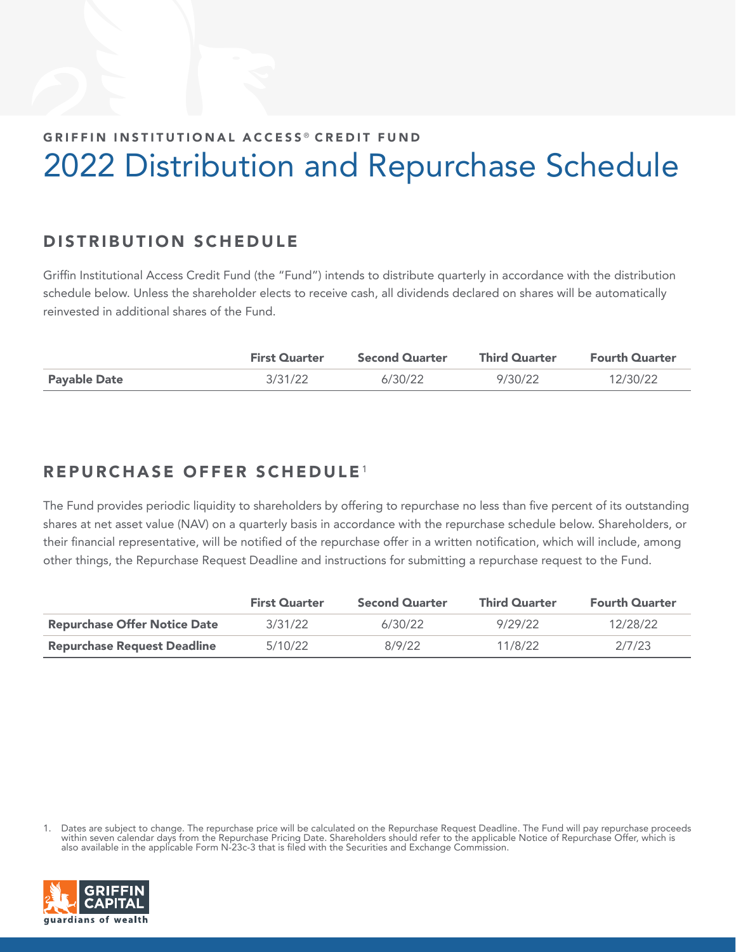## GRIFFIN INSTITUTIONAL ACCESS<sup>®</sup> CREDIT FUND 2022 Distribution and Repurchase Schedule

## DISTRIBUTION SCHEDULE

Griffin Institutional Access Credit Fund (the "Fund") intends to distribute quarterly in accordance with the distribution schedule below. Unless the shareholder elects to receive cash, all dividends declared on shares will be automatically reinvested in additional shares of the Fund.

|                     | <b>First Quarter</b> | <b>Second Quarter</b> | <b>Third Quarter</b> | <b>Fourth Quarter</b> |
|---------------------|----------------------|-----------------------|----------------------|-----------------------|
| <b>Payable Date</b> | 3/31/22              | 6/30/22               | 9/30/22              | 12/30/22              |

## REPURCHASE OFFER SCHEDULE<sup>1</sup>

The Fund provides periodic liquidity to shareholders by offering to repurchase no less than five percent of its outstanding shares at net asset value (NAV) on a quarterly basis in accordance with the repurchase schedule below. Shareholders, or their financial representative, will be notified of the repurchase offer in a written notification, which will include, among other things, the Repurchase Request Deadline and instructions for submitting a repurchase request to the Fund.

|                                     | <b>First Quarter</b> | <b>Second Quarter</b> | <b>Third Quarter</b> | <b>Fourth Quarter</b> |
|-------------------------------------|----------------------|-----------------------|----------------------|-----------------------|
| <b>Repurchase Offer Notice Date</b> | 3/31/22              | 6/30/22               | 9/29/22              | 12/28/22              |
| <b>Repurchase Request Deadline</b>  | 5/10/22              | 8/9/22                | 11/8/22              | 2/7/23                |

<sup>1.</sup> Dates are subject to change. The repurchase price will be calculated on the Repurchase Request Deadline. The Fund will pay repurchase proceeds within seven calendar days from the Repurchase Pricing Date. Shareholders should refer to the applicable Notice of Repurchase Offer, which is also available in the applicable Form N-23c-3 that is filed with the Securities and Exchange Commission.